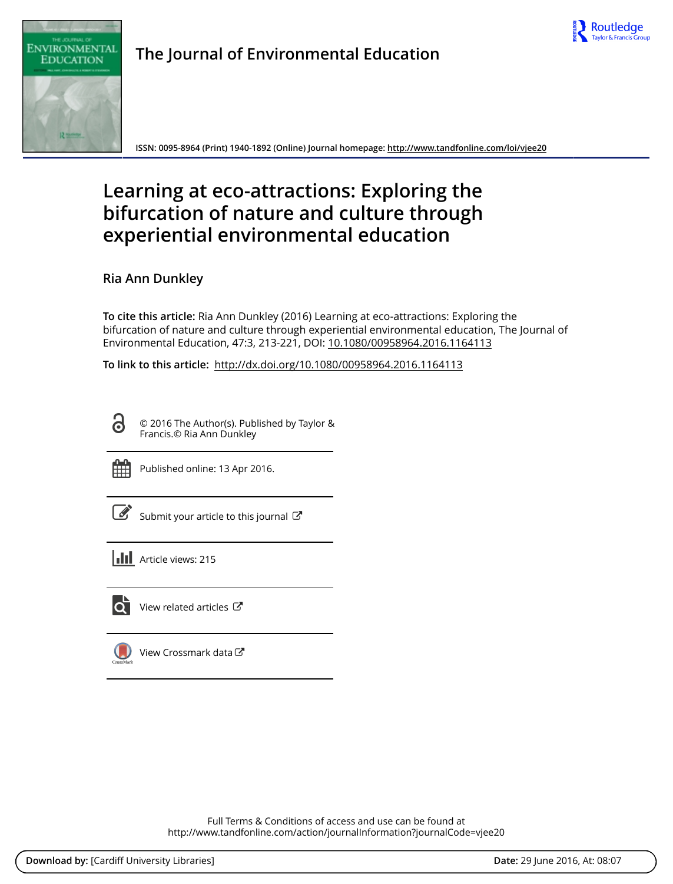



**The Journal of Environmental Education**

**ISSN: 0095-8964 (Print) 1940-1892 (Online) Journal homepage:<http://www.tandfonline.com/loi/vjee20>**

# **Learning at eco-attractions: Exploring the bifurcation of nature and culture through experiential environmental education**

**Ria Ann Dunkley**

**To cite this article:** Ria Ann Dunkley (2016) Learning at eco-attractions: Exploring the bifurcation of nature and culture through experiential environmental education, The Journal of Environmental Education, 47:3, 213-221, DOI: [10.1080/00958964.2016.1164113](http://www.tandfonline.com/action/showCitFormats?doi=10.1080/00958964.2016.1164113)

**To link to this article:** <http://dx.doi.org/10.1080/00958964.2016.1164113>

© 2016 The Author(s). Published by Taylor & Francis.© Ria Ann Dunkley



ര

Published online: 13 Apr 2016.

|--|

[Submit your article to this journal](http://www.tandfonline.com/action/authorSubmission?journalCode=vjee20&page=instructions)  $\mathbb{Z}$ 

**III** Article views: 215



 $\overline{Q}$  [View related articles](http://www.tandfonline.com/doi/mlt/10.1080/00958964.2016.1164113)  $\overline{C}$ 

[View Crossmark data](http://crossmark.crossref.org/dialog/?doi=10.1080/00958964.2016.1164113&domain=pdf&date_stamp=2016-04-13)

Full Terms & Conditions of access and use can be found at <http://www.tandfonline.com/action/journalInformation?journalCode=vjee20>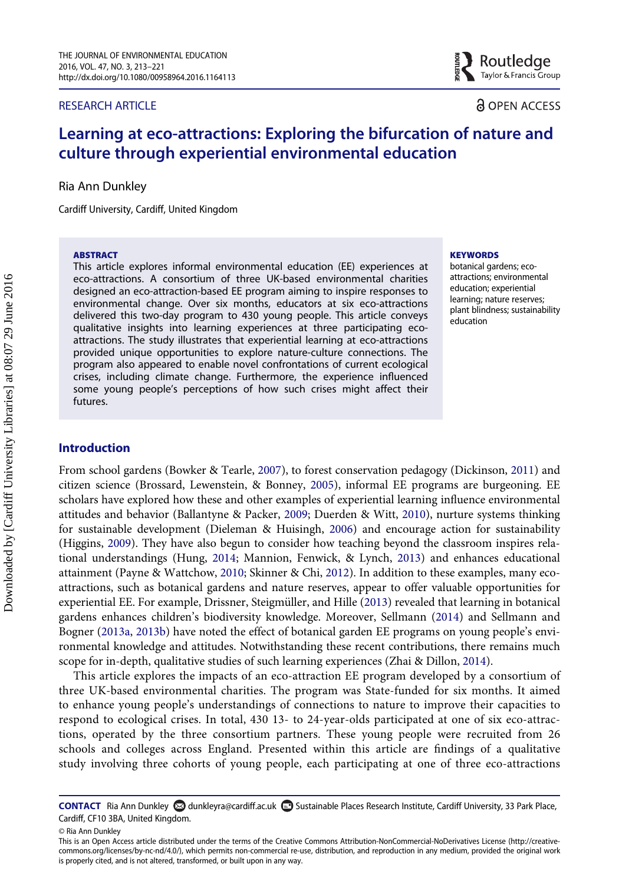#### RESEARCH ARTICLE

**EXACTAVIOLE CONTROL**<br>Reserves Taylor & Francis Gro Taylor & Francis Group

# **a** OPEN ACCESS

# Learning at eco-attractions: Exploring the bifurcation of nature and culture through experiential environmental education

Ria Ann Dunkley

Cardiff University, Cardiff, United Kingdom

#### **ARSTRACT**

This article explores informal environmental education (EE) experiences at eco-attractions. A consortium of three UK-based environmental charities designed an eco-attraction-based EE program aiming to inspire responses to environmental change. Over six months, educators at six eco-attractions delivered this two-day program to 430 young people. This article conveys qualitative insights into learning experiences at three participating ecoattractions. The study illustrates that experiential learning at eco-attractions provided unique opportunities to explore nature-culture connections. The program also appeared to enable novel confrontations of current ecological crises, including climate change. Furthermore, the experience influenced some young people's perceptions of how such crises might affect their futures.

#### **KEYWORDS**

botanical gardens; ecoattractions; environmental education; experiential learning; nature reserves; plant blindness; sustainability education

# Introduction

From school gardens (Bowker & Tearle, [2007](#page-8-0)), to forest conservation pedagogy (Dickinson, [2011](#page-8-1)) and citizen science (Brossard, Lewenstein, & Bonney, [2005\)](#page-8-2), informal EE programs are burgeoning. EE scholars have explored how these and other examples of experiential learning influence environmental attitudes and behavior (Ballantyne & Packer, [2009;](#page-8-3) Duerden & Witt, [2010\)](#page-8-4), nurture systems thinking for sustainable development (Dieleman & Huisingh, [2006](#page-8-5)) and encourage action for sustainability (Higgins, [2009\)](#page-8-6). They have also begun to consider how teaching beyond the classroom inspires relational understandings (Hung, [2014](#page-8-7); Mannion, Fenwick, & Lynch, [2013\)](#page-9-0) and enhances educational attainment (Payne & Wattchow, [2010](#page-9-1); Skinner & Chi, [2012](#page-9-2)). In addition to these examples, many ecoattractions, such as botanical gardens and nature reserves, appear to offer valuable opportunities for experiential EE. For example, Drissner, Steigmüller, and Hille ([2013\)](#page-8-8) revealed that learning in botanical gardens enhances children's biodiversity knowledge. Moreover, Sellmann ([2014\)](#page-9-3) and Sellmann and Bogner [\(2013a,](#page-9-4) [2013b\)](#page-9-5) have noted the effect of botanical garden EE programs on young people's environmental knowledge and attitudes. Notwithstanding these recent contributions, there remains much scope for in-depth, qualitative studies of such learning experiences (Zhai & Dillon, [2014\)](#page-9-6).

This article explores the impacts of an eco-attraction EE program developed by a consortium of three UK-based environmental charities. The program was State-funded for six months. It aimed to enhance young people's understandings of connections to nature to improve their capacities to respond to ecological crises. In total, 430 13- to 24-year-olds participated at one of six eco-attractions, operated by the three consortium partners. These young people were recruited from 26 schools and colleges across England. Presented within this article are findings of a qualitative study involving three cohorts of young people, each participating at one of three eco-attractions

CONTACT Ria Ann Dunkley & dunkleyra@cardiff.ac.uk Sustainable Places Research Institute, Cardiff University, 33 Park Place, Cardiff, CF10 3BA, United Kingdom.

<sup>©</sup> Ria Ann Dunkley

This is an Open Access article distributed under the terms of the Creative Commons Attribution-NonCommercial-NoDerivatives License (http://creativecommons.org/licenses/by-nc-nd/4.0/), which permits non-commercial re-use, distribution, and reproduction in any medium, provided the original work is properly cited, and is not altered, transformed, or built upon in any way.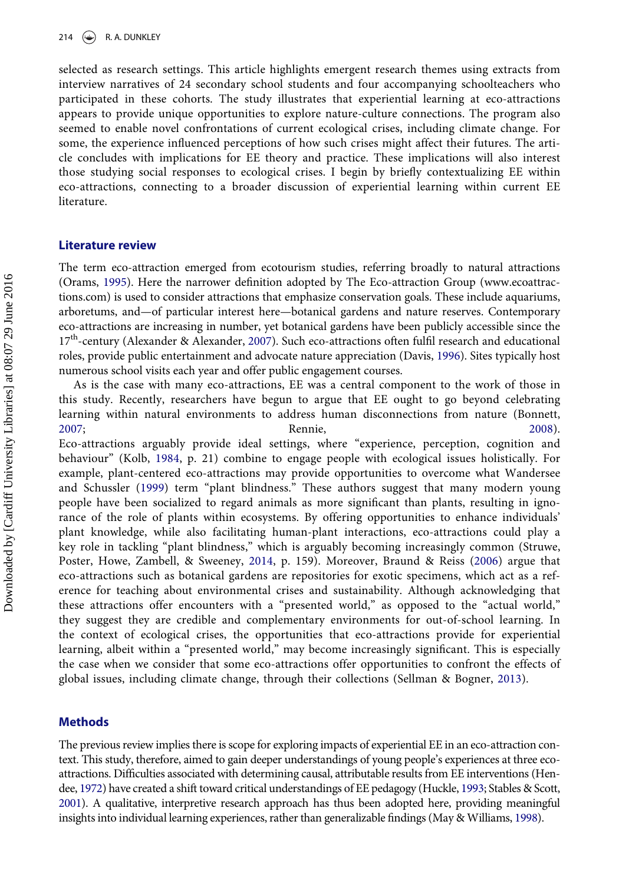selected as research settings. This article highlights emergent research themes using extracts from interview narratives of 24 secondary school students and four accompanying schoolteachers who participated in these cohorts. The study illustrates that experiential learning at eco-attractions appears to provide unique opportunities to explore nature-culture connections. The program also seemed to enable novel confrontations of current ecological crises, including climate change. For some, the experience influenced perceptions of how such crises might affect their futures. The article concludes with implications for EE theory and practice. These implications will also interest those studying social responses to ecological crises. I begin by briefly contextualizing EE within eco-attractions, connecting to a broader discussion of experiential learning within current EE literature.

#### Literature review

The term eco-attraction emerged from ecotourism studies, referring broadly to natural attractions (Orams, [1995](#page-9-7)). Here the narrower definition adopted by The Eco-attraction Group (www.ecoattractions.com) is used to consider attractions that emphasize conservation goals. These include aquariums, arboretums, and—of particular interest here—botanical gardens and nature reserves. Contemporary eco-attractions are increasing in number, yet botanical gardens have been publicly accessible since the 17<sup>th</sup>-century (Alexander & Alexander, [2007](#page-8-9)). Such eco-attractions often fulfil research and educational roles, provide public entertainment and advocate nature appreciation (Davis, [1996\)](#page-8-10). Sites typically host numerous school visits each year and offer public engagement courses.

As is the case with many eco-attractions, EE was a central component to the work of those in this study. Recently, researchers have begun to argue that EE ought to go beyond celebrating learning within natural environments to address human disconnections from nature (Bonnett, [2007](#page-8-11); Rennie, [2008](#page-9-8)).

Eco-attractions arguably provide ideal settings, where "experience, perception, cognition and behaviour" (Kolb, [1984](#page-8-12), p. 21) combine to engage people with ecological issues holistically. For example, plant-centered eco-attractions may provide opportunities to overcome what Wandersee and Schussler [\(1999\)](#page-9-9) term "plant blindness." These authors suggest that many modern young people have been socialized to regard animals as more significant than plants, resulting in ignorance of the role of plants within ecosystems. By offering opportunities to enhance individuals' plant knowledge, while also facilitating human-plant interactions, eco-attractions could play a key role in tackling "plant blindness," which is arguably becoming increasingly common (Struwe, Poster, Howe, Zambell, & Sweeney, [2014](#page-9-10), p. 159). Moreover, Braund & Reiss ([2006\)](#page-8-13) argue that eco-attractions such as botanical gardens are repositories for exotic specimens, which act as a reference for teaching about environmental crises and sustainability. Although acknowledging that these attractions offer encounters with a "presented world," as opposed to the "actual world," they suggest they are credible and complementary environments for out-of-school learning. In the context of ecological crises, the opportunities that eco-attractions provide for experiential learning, albeit within a "presented world," may become increasingly significant. This is especially the case when we consider that some eco-attractions offer opportunities to confront the effects of global issues, including climate change, through their collections (Sellman & Bogner, [2013\)](#page-9-4).

#### Methods

The previous review implies there is scope for exploring impacts of experiential EE in an eco-attraction context. This study, therefore, aimed to gain deeper understandings of young people's experiences at three ecoattractions. Difficulties associated with determining causal, attributable results from EE interventions (Hendee, [1972](#page-8-14)) have created a shift toward critical understandings of EE pedagogy (Huckle, [1993](#page-8-15); Stables & Scott, [2001](#page-9-11)). A qualitative, interpretive research approach has thus been adopted here, providing meaningful insights into individual learning experiences, rather than generalizable findings (May & Williams, [1998\)](#page-9-12).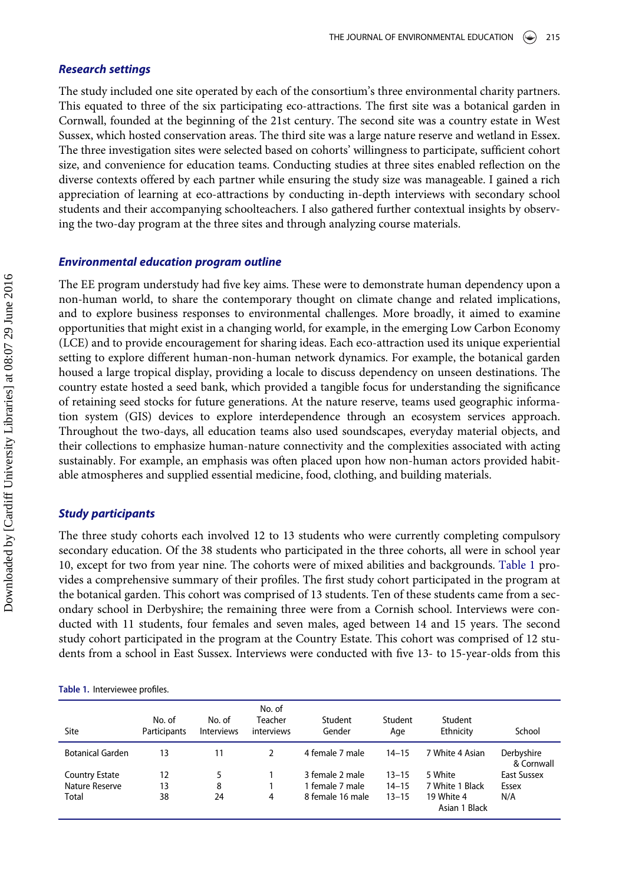### Research settings

The study included one site operated by each of the consortium's three environmental charity partners. This equated to three of the six participating eco-attractions. The first site was a botanical garden in Cornwall, founded at the beginning of the 21st century. The second site was a country estate in West Sussex, which hosted conservation areas. The third site was a large nature reserve and wetland in Essex. The three investigation sites were selected based on cohorts' willingness to participate, sufficient cohort size, and convenience for education teams. Conducting studies at three sites enabled reflection on the diverse contexts offered by each partner while ensuring the study size was manageable. I gained a rich appreciation of learning at eco-attractions by conducting in-depth interviews with secondary school students and their accompanying schoolteachers. I also gathered further contextual insights by observing the two-day program at the three sites and through analyzing course materials.

#### Environmental education program outline

The EE program understudy had five key aims. These were to demonstrate human dependency upon a non-human world, to share the contemporary thought on climate change and related implications, and to explore business responses to environmental challenges. More broadly, it aimed to examine opportunities that might exist in a changing world, for example, in the emerging Low Carbon Economy (LCE) and to provide encouragement for sharing ideas. Each eco-attraction used its unique experiential setting to explore different human-non-human network dynamics. For example, the botanical garden housed a large tropical display, providing a locale to discuss dependency on unseen destinations. The country estate hosted a seed bank, which provided a tangible focus for understanding the significance of retaining seed stocks for future generations. At the nature reserve, teams used geographic information system (GIS) devices to explore interdependence through an ecosystem services approach. Throughout the two-days, all education teams also used soundscapes, everyday material objects, and their collections to emphasize human-nature connectivity and the complexities associated with acting sustainably. For example, an emphasis was often placed upon how non-human actors provided habitable atmospheres and supplied essential medicine, food, clothing, and building materials.

#### Study participants

The three study cohorts each involved 12 to 13 students who were currently completing compulsory secondary education. Of the 38 students who participated in the three cohorts, all were in school year 10, except for two from year nine. The cohorts were of mixed abilities and backgrounds. [Table 1](#page-3-0) provides a comprehensive summary of their profiles. The first study cohort participated in the program at the botanical garden. This cohort was comprised of 13 students. Ten of these students came from a secondary school in Derbyshire; the remaining three were from a Cornish school. Interviews were conducted with 11 students, four females and seven males, aged between 14 and 15 years. The second study cohort participated in the program at the Country Estate. This cohort was comprised of 12 students from a school in East Sussex. Interviews were conducted with five 13- to 15-year-olds from this

<span id="page-3-0"></span>

| Table 1. Interviewee profiles. |  |  |  |  |
|--------------------------------|--|--|--|--|
|--------------------------------|--|--|--|--|

| Site                    | No. of<br>Participants | No. of<br><b>Interviews</b> | No. of<br>Teacher<br>interviews | Student<br>Gender | Student<br>Age | Student<br>Ethnicity        | School                   |
|-------------------------|------------------------|-----------------------------|---------------------------------|-------------------|----------------|-----------------------------|--------------------------|
| <b>Botanical Garden</b> | 13                     | 11                          | $\mathcal{P}$                   | 4 female 7 male   | $14 - 15$      | 7 White 4 Asian             | Derbyshire<br>& Cornwall |
| <b>Country Estate</b>   | 12                     | 5.                          |                                 | 3 female 2 male   | $13 - 15$      | 5 White                     | East Sussex              |
| Nature Reserve          | 13                     | 8                           |                                 | 1 female 7 male   | $14 - 15$      | 7 White 1 Black             | Essex                    |
| Total                   | 38                     | 24                          | 4                               | 8 female 16 male  | $13 - 15$      | 19 White 4<br>Asian 1 Black | N/A                      |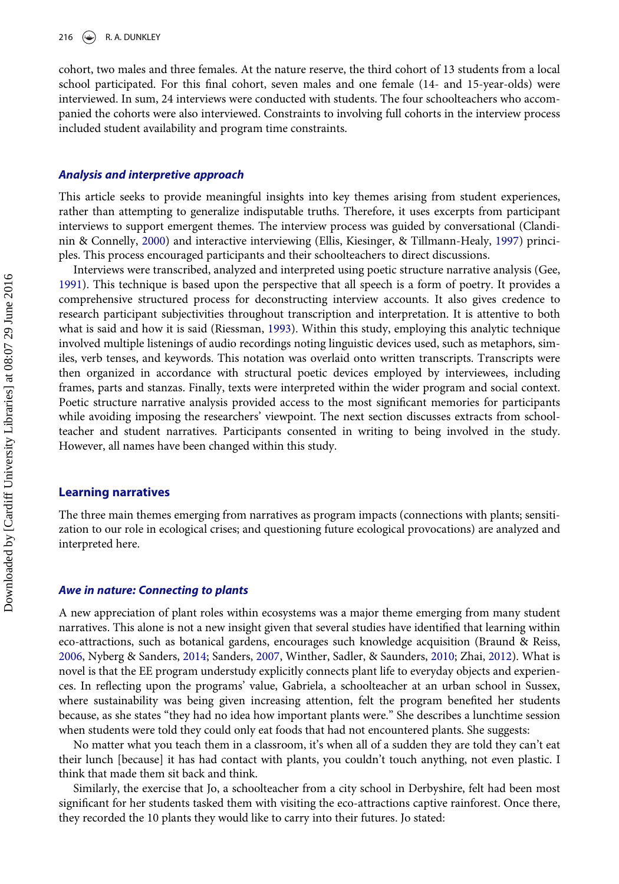cohort, two males and three females. At the nature reserve, the third cohort of 13 students from a local school participated. For this final cohort, seven males and one female (14- and 15-year-olds) were interviewed. In sum, 24 interviews were conducted with students. The four schoolteachers who accompanied the cohorts were also interviewed. Constraints to involving full cohorts in the interview process included student availability and program time constraints.

#### Analysis and interpretive approach

This article seeks to provide meaningful insights into key themes arising from student experiences, rather than attempting to generalize indisputable truths. Therefore, it uses excerpts from participant interviews to support emergent themes. The interview process was guided by conversational (Clandinin & Connelly, [2000\)](#page-8-16) and interactive interviewing (Ellis, Kiesinger, & Tillmann-Healy, [1997\)](#page-8-17) principles. This process encouraged participants and their schoolteachers to direct discussions.

Interviews were transcribed, analyzed and interpreted using poetic structure narrative analysis (Gee, [1991\)](#page-8-18). This technique is based upon the perspective that all speech is a form of poetry. It provides a comprehensive structured process for deconstructing interview accounts. It also gives credence to research participant subjectivities throughout transcription and interpretation. It is attentive to both what is said and how it is said (Riessman, [1993](#page-9-13)). Within this study, employing this analytic technique involved multiple listenings of audio recordings noting linguistic devices used, such as metaphors, similes, verb tenses, and keywords. This notation was overlaid onto written transcripts. Transcripts were then organized in accordance with structural poetic devices employed by interviewees, including frames, parts and stanzas. Finally, texts were interpreted within the wider program and social context. Poetic structure narrative analysis provided access to the most significant memories for participants while avoiding imposing the researchers' viewpoint. The next section discusses extracts from schoolteacher and student narratives. Participants consented in writing to being involved in the study. However, all names have been changed within this study.

#### Learning narratives

The three main themes emerging from narratives as program impacts (connections with plants; sensitization to our role in ecological crises; and questioning future ecological provocations) are analyzed and interpreted here.

#### Awe in nature: Connecting to plants

A new appreciation of plant roles within ecosystems was a major theme emerging from many student narratives. This alone is not a new insight given that several studies have identified that learning within eco-attractions, such as botanical gardens, encourages such knowledge acquisition (Braund & Reiss, [2006,](#page-8-13) Nyberg & Sanders, [2014](#page-9-14); Sanders, [2007,](#page-9-15) Winther, Sadler, & Saunders, [2010](#page-9-16); Zhai, [2012\)](#page-9-17). What is novel is that the EE program understudy explicitly connects plant life to everyday objects and experiences. In reflecting upon the programs' value, Gabriela, a schoolteacher at an urban school in Sussex, where sustainability was being given increasing attention, felt the program benefited her students because, as she states "they had no idea how important plants were." She describes a lunchtime session when students were told they could only eat foods that had not encountered plants. She suggests:

No matter what you teach them in a classroom, it's when all of a sudden they are told they can't eat their lunch [because] it has had contact with plants, you couldn't touch anything, not even plastic. I think that made them sit back and think.

Similarly, the exercise that Jo, a schoolteacher from a city school in Derbyshire, felt had been most significant for her students tasked them with visiting the eco-attractions captive rainforest. Once there, they recorded the 10 plants they would like to carry into their futures. Jo stated: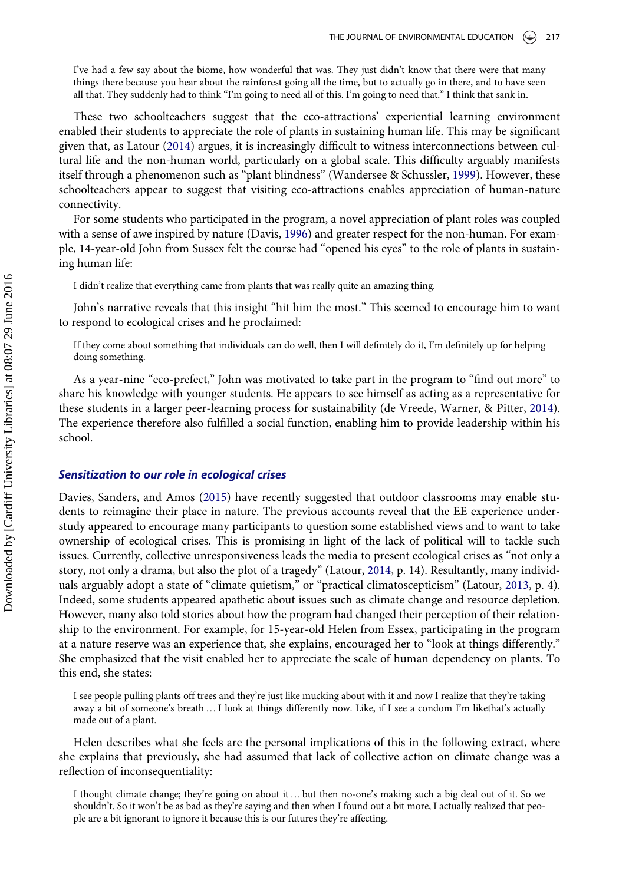I've had a few say about the biome, how wonderful that was. They just didn't know that there were that many things there because you hear about the rainforest going all the time, but to actually go in there, and to have seen all that. They suddenly had to think "I'm going to need all of this. I'm going to need that." I think that sank in.

These two schoolteachers suggest that the eco-attractions' experiential learning environment enabled their students to appreciate the role of plants in sustaining human life. This may be significant given that, as Latour ([2014](#page-9-18)) argues, it is increasingly difficult to witness interconnections between cultural life and the non-human world, particularly on a global scale. This difficulty arguably manifests itself through a phenomenon such as "plant blindness" (Wandersee & Schussler, [1999](#page-9-9)). However, these schoolteachers appear to suggest that visiting eco-attractions enables appreciation of human-nature connectivity.

For some students who participated in the program, a novel appreciation of plant roles was coupled with a sense of awe inspired by nature (Davis, [1996\)](#page-8-10) and greater respect for the non-human. For example, 14-year-old John from Sussex felt the course had "opened his eyes" to the role of plants in sustaining human life:

I didn't realize that everything came from plants that was really quite an amazing thing.

John's narrative reveals that this insight "hit him the most." This seemed to encourage him to want to respond to ecological crises and he proclaimed:

If they come about something that individuals can do well, then I will definitely do it, I'm definitely up for helping doing something.

As a year-nine "eco-prefect," John was motivated to take part in the program to "find out more" to share his knowledge with younger students. He appears to see himself as acting as a representative for these students in a larger peer-learning process for sustainability (de Vreede, Warner, & Pitter, [2014](#page-8-19)). The experience therefore also fulfilled a social function, enabling him to provide leadership within his school.

#### Sensitization to our role in ecological crises

Davies, Sanders, and Amos [\(2015\)](#page-8-20) have recently suggested that outdoor classrooms may enable students to reimagine their place in nature. The previous accounts reveal that the EE experience understudy appeared to encourage many participants to question some established views and to want to take ownership of ecological crises. This is promising in light of the lack of political will to tackle such issues. Currently, collective unresponsiveness leads the media to present ecological crises as "not only a story, not only a drama, but also the plot of a tragedy" (Latour, [2014](#page-9-18), p. 14). Resultantly, many individuals arguably adopt a state of "climate quietism," or "practical climatoscepticism" (Latour, [2013,](#page-9-19) p. 4). Indeed, some students appeared apathetic about issues such as climate change and resource depletion. However, many also told stories about how the program had changed their perception of their relationship to the environment. For example, for 15-year-old Helen from Essex, participating in the program at a nature reserve was an experience that, she explains, encouraged her to "look at things differently." She emphasized that the visit enabled her to appreciate the scale of human dependency on plants. To this end, she states:

I see people pulling plants off trees and they're just like mucking about with it and now I realize that they're taking away a bit of someone's breath …I look at things differently now. Like, if I see a condom I'm likethat's actually made out of a plant.

Helen describes what she feels are the personal implications of this in the following extract, where she explains that previously, she had assumed that lack of collective action on climate change was a reflection of inconsequentiality:

I thought climate change; they're going on about it …but then no-one's making such a big deal out of it. So we shouldn't. So it won't be as bad as they're saying and then when I found out a bit more, I actually realized that people are a bit ignorant to ignore it because this is our futures they're affecting.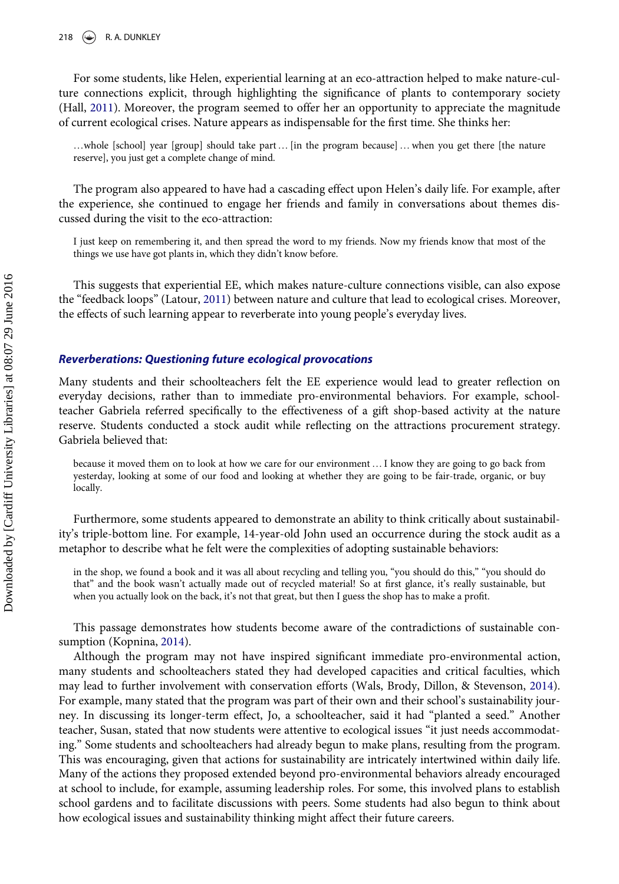For some students, like Helen, experiential learning at an eco-attraction helped to make nature-culture connections explicit, through highlighting the significance of plants to contemporary society (Hall, [2011\)](#page-8-21). Moreover, the program seemed to offer her an opportunity to appreciate the magnitude of current ecological crises. Nature appears as indispensable for the first time. She thinks her:

…whole [school] year [group] should take part… [in the program because] …when you get there [the nature reserve], you just get a complete change of mind.

The program also appeared to have had a cascading effect upon Helen's daily life. For example, after the experience, she continued to engage her friends and family in conversations about themes discussed during the visit to the eco-attraction:

I just keep on remembering it, and then spread the word to my friends. Now my friends know that most of the things we use have got plants in, which they didn't know before.

This suggests that experiential EE, which makes nature-culture connections visible, can also expose the "feedback loops" (Latour, [2011\)](#page-9-20) between nature and culture that lead to ecological crises. Moreover, the effects of such learning appear to reverberate into young people's everyday lives.

### Reverberations: Questioning future ecological provocations

Many students and their schoolteachers felt the EE experience would lead to greater reflection on everyday decisions, rather than to immediate pro-environmental behaviors. For example, schoolteacher Gabriela referred specifically to the effectiveness of a gift shop-based activity at the nature reserve. Students conducted a stock audit while reflecting on the attractions procurement strategy. Gabriela believed that:

because it moved them on to look at how we care for our environment …I know they are going to go back from yesterday, looking at some of our food and looking at whether they are going to be fair-trade, organic, or buy locally.

Furthermore, some students appeared to demonstrate an ability to think critically about sustainability's triple-bottom line. For example, 14-year-old John used an occurrence during the stock audit as a metaphor to describe what he felt were the complexities of adopting sustainable behaviors:

in the shop, we found a book and it was all about recycling and telling you, "you should do this," "you should do that" and the book wasn't actually made out of recycled material! So at first glance, it's really sustainable, but when you actually look on the back, it's not that great, but then I guess the shop has to make a profit.

This passage demonstrates how students become aware of the contradictions of sustainable consumption (Kopnina, [2014](#page-9-21)).

Although the program may not have inspired significant immediate pro-environmental action, many students and schoolteachers stated they had developed capacities and critical faculties, which may lead to further involvement with conservation efforts (Wals, Brody, Dillon, & Stevenson, [2014](#page-9-22)). For example, many stated that the program was part of their own and their school's sustainability journey. In discussing its longer-term effect, Jo, a schoolteacher, said it had "planted a seed." Another teacher, Susan, stated that now students were attentive to ecological issues "it just needs accommodating." Some students and schoolteachers had already begun to make plans, resulting from the program. This was encouraging, given that actions for sustainability are intricately intertwined within daily life. Many of the actions they proposed extended beyond pro-environmental behaviors already encouraged at school to include, for example, assuming leadership roles. For some, this involved plans to establish school gardens and to facilitate discussions with peers. Some students had also begun to think about how ecological issues and sustainability thinking might affect their future careers.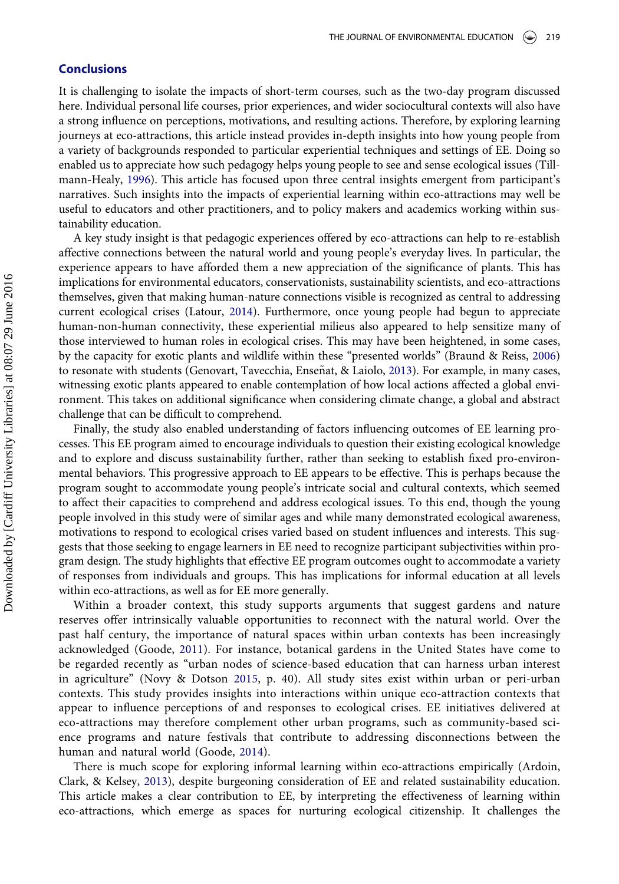### **Conclusions**

It is challenging to isolate the impacts of short-term courses, such as the two-day program discussed here. Individual personal life courses, prior experiences, and wider sociocultural contexts will also have a strong influence on perceptions, motivations, and resulting actions. Therefore, by exploring learning journeys at eco-attractions, this article instead provides in-depth insights into how young people from a variety of backgrounds responded to particular experiential techniques and settings of EE. Doing so enabled us to appreciate how such pedagogy helps young people to see and sense ecological issues (Tillmann-Healy, [1996\)](#page-9-23). This article has focused upon three central insights emergent from participant's narratives. Such insights into the impacts of experiential learning within eco-attractions may well be useful to educators and other practitioners, and to policy makers and academics working within sustainability education.

A key study insight is that pedagogic experiences offered by eco-attractions can help to re-establish affective connections between the natural world and young people's everyday lives. In particular, the experience appears to have afforded them a new appreciation of the significance of plants. This has implications for environmental educators, conservationists, sustainability scientists, and eco-attractions themselves, given that making human-nature connections visible is recognized as central to addressing current ecological crises (Latour, [2014\)](#page-9-18). Furthermore, once young people had begun to appreciate human-non-human connectivity, these experiential milieus also appeared to help sensitize many of those interviewed to human roles in ecological crises. This may have been heightened, in some cases, by the capacity for exotic plants and wildlife within these "presented worlds" (Braund & Reiss, [2006\)](#page-8-13) to resonate with students (Genovart, Tavecchia, Enseñat, & Laiolo, [2013\)](#page-8-22). For example, in many cases, witnessing exotic plants appeared to enable contemplation of how local actions affected a global environment. This takes on additional significance when considering climate change, a global and abstract challenge that can be difficult to comprehend.

Finally, the study also enabled understanding of factors influencing outcomes of EE learning processes. This EE program aimed to encourage individuals to question their existing ecological knowledge and to explore and discuss sustainability further, rather than seeking to establish fixed pro-environmental behaviors. This progressive approach to EE appears to be effective. This is perhaps because the program sought to accommodate young people's intricate social and cultural contexts, which seemed to affect their capacities to comprehend and address ecological issues. To this end, though the young people involved in this study were of similar ages and while many demonstrated ecological awareness, motivations to respond to ecological crises varied based on student influences and interests. This suggests that those seeking to engage learners in EE need to recognize participant subjectivities within program design. The study highlights that effective EE program outcomes ought to accommodate a variety of responses from individuals and groups. This has implications for informal education at all levels within eco-attractions, as well as for EE more generally.

Within a broader context, this study supports arguments that suggest gardens and nature reserves offer intrinsically valuable opportunities to reconnect with the natural world. Over the past half century, the importance of natural spaces within urban contexts has been increasingly acknowledged (Goode, [2011\)](#page-8-23). For instance, botanical gardens in the United States have come to be regarded recently as "urban nodes of science-based education that can harness urban interest in agriculture" (Novy & Dotson [2015,](#page-9-24) p. 40). All study sites exist within urban or peri-urban contexts. This study provides insights into interactions within unique eco-attraction contexts that appear to influence perceptions of and responses to ecological crises. EE initiatives delivered at eco-attractions may therefore complement other urban programs, such as community-based science programs and nature festivals that contribute to addressing disconnections between the human and natural world (Goode, [2014](#page-8-24)).

There is much scope for exploring informal learning within eco-attractions empirically (Ardoin, Clark, & Kelsey, [2013](#page-8-25)), despite burgeoning consideration of EE and related sustainability education. This article makes a clear contribution to EE, by interpreting the effectiveness of learning within eco-attractions, which emerge as spaces for nurturing ecological citizenship. It challenges the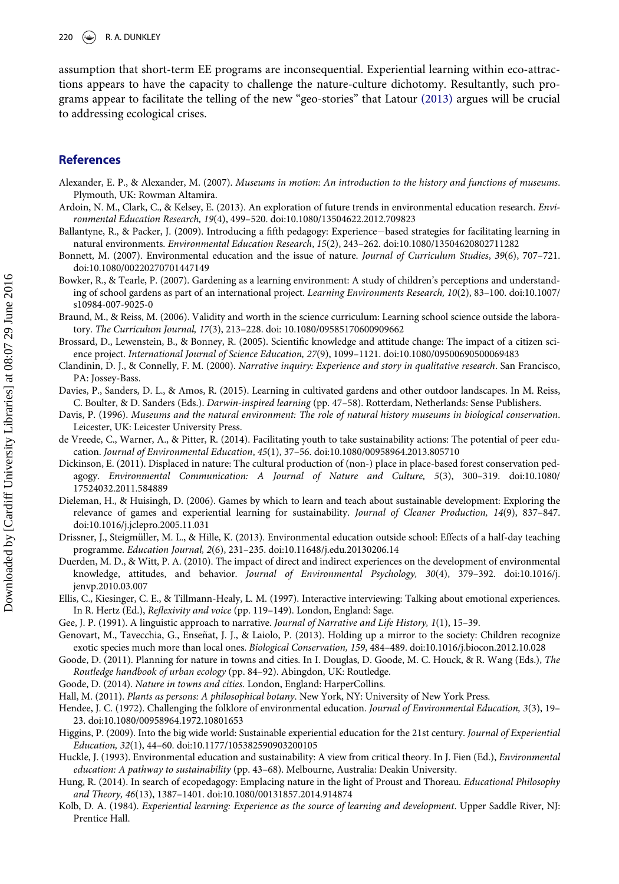assumption that short-term EE programs are inconsequential. Experiential learning within eco-attractions appears to have the capacity to challenge the nature-culture dichotomy. Resultantly, such programs appear to facilitate the telling of the new "geo-stories" that Latour [\(2013\)](#page-9-19) argues will be crucial to addressing ecological crises.

## References

- <span id="page-8-9"></span>Alexander, E. P., & Alexander, M. (2007). Museums in motion: An introduction to the history and functions of museums. Plymouth, UK: Rowman Altamira.
- <span id="page-8-25"></span>Ardoin, N. M., Clark, C., & Kelsey, E. (2013). An exploration of future trends in environmental education research. Environmental Education Research, 19(4), 499–520. doi:[10.1080/13504622.2012.709823](http://dx.doi.org/10.1080/13504622.2012.709823)
- <span id="page-8-3"></span>Ballantyne, R., & Packer, J. (2009). Introducing a fifth pedagogy: Experience-based strategies for facilitating learning in natural environments. Environmental Education Research, 15(2), 243–262. doi:[10.1080/13504620802711282](http://dx.doi.org/10.1080/13504620802711282)
- <span id="page-8-11"></span>Bonnett, M. (2007). Environmental education and the issue of nature. Journal of Curriculum Studies, 39(6), 707–721. doi[:10.1080/00220270701447149](http://dx.doi.org/10.1080/00220270701447149)
- <span id="page-8-0"></span>Bowker, R., & Tearle, P. (2007). Gardening as a learning environment: A study of children's perceptions and understanding of school gardens as part of an international project. Learning Environments Research, 10(2), 83–100. doi[:10.1007/](http://dx.doi.org/10.1007/s10984-007-9025-0) [s10984-007-9025-0](http://dx.doi.org/10.1007/s10984-007-9025-0)
- <span id="page-8-13"></span>Braund, M., & Reiss, M. (2006). Validity and worth in the science curriculum: Learning school science outside the laboratory. The Curriculum Journal, 17(3), 213–228. doi: [10.1080/09585170600909662](http://dx.doi.org/10.1080/09585170600909662)
- <span id="page-8-2"></span>Brossard, D., Lewenstein, B., & Bonney, R. (2005). Scientific knowledge and attitude change: The impact of a citizen science project. International Journal of Science Education, 27(9), 1099–1121. doi:[10.1080/09500690500069483](http://dx.doi.org/10.1080/09500690500069483)
- <span id="page-8-16"></span>Clandinin, D. J., & Connelly, F. M. (2000). Narrative inquiry: Experience and story in qualitative research. San Francisco, PA: Jossey-Bass.
- <span id="page-8-20"></span>Davies, P., Sanders, D. L., & Amos, R. (2015). Learning in cultivated gardens and other outdoor landscapes. In M. Reiss, C. Boulter, & D. Sanders (Eds.). Darwin-inspired learning (pp. 47–58). Rotterdam, Netherlands: Sense Publishers.
- <span id="page-8-10"></span>Davis, P. (1996). Museums and the natural environment: The role of natural history museums in biological conservation. Leicester, UK: Leicester University Press.
- <span id="page-8-19"></span>de Vreede, C., Warner, A., & Pitter, R. (2014). Facilitating youth to take sustainability actions: The potential of peer education. Journal of Environmental Education, 45(1), 37–56. doi[:10.1080/00958964.2013.805710](http://dx.doi.org/10.1080/00958964.2013.805710)
- <span id="page-8-1"></span>Dickinson, E. (2011). Displaced in nature: The cultural production of (non-) place in place-based forest conservation pedagogy. Environmental Communication: A Journal of Nature and Culture, 5(3), 300–319. doi[:10.1080/](http://dx.doi.org/10.1080/17524032.2011.584889) [17524032.2011.584889](http://dx.doi.org/10.1080/17524032.2011.584889)
- <span id="page-8-5"></span>Dieleman, H., & Huisingh, D. (2006). Games by which to learn and teach about sustainable development: Exploring the relevance of games and experiential learning for sustainability. Journal of Cleaner Production, 14(9), 837–847. doi[:10.1016/j.jclepro.2005.11.031](http://dx.doi.org/10.1016/j.jclepro.2005.11.031)
- <span id="page-8-8"></span>Drissner, J., Steigmüller, M. L., & Hille, K. (2013). Environmental education outside school: Effects of a half-day teaching programme. Education Journal, 2(6), 231–235. doi[:10.11648/j.edu.20130206.14](http://dx.doi.org/10.11648/j.edu.20130206.14)
- <span id="page-8-4"></span>Duerden, M. D., & Witt, P. A. (2010). The impact of direct and indirect experiences on the development of environmental knowledge, attitudes, and behavior. Journal of Environmental Psychology, 30(4), 379–392. doi[:10.1016/j.](http://dx.doi.org/10.1016/j.jenvp.2010.03.007) [jenvp.2010.03.007](http://dx.doi.org/10.1016/j.jenvp.2010.03.007)
- <span id="page-8-17"></span>Ellis, C., Kiesinger, C. E., & Tillmann-Healy, L. M. (1997). Interactive interviewing: Talking about emotional experiences. In R. Hertz (Ed.), Reflexivity and voice (pp. 119–149). London, England: Sage.
- <span id="page-8-18"></span>Gee, J. P. (1991). A linguistic approach to narrative. Journal of Narrative and Life History, 1(1), 15–39.
- <span id="page-8-22"></span>Genovart, M., Tavecchia, G., Ensenat, J. J., & Laiolo, P. (2013). Holding up a mirror to the society: Children recognize ~ exotic species much more than local ones. Biological Conservation, 159, 484–489. doi[:10.1016/j.biocon.2012.10.028](http://dx.doi.org/10.1016/j.biocon.2012.10.028)
- <span id="page-8-23"></span>Goode, D. (2011). Planning for nature in towns and cities. In I. Douglas, D. Goode, M. C. Houck, & R. Wang (Eds.), The Routledge handbook of urban ecology (pp. 84–92). Abingdon, UK: Routledge.
- <span id="page-8-24"></span>Goode, D. (2014). Nature in towns and cities. London, England: HarperCollins.
- <span id="page-8-21"></span>Hall, M. (2011). Plants as persons: A philosophical botany. New York, NY: University of New York Press.
- <span id="page-8-14"></span>Hendee, J. C. (1972). Challenging the folklore of environmental education. Journal of Environmental Education, 3(3), 19-23. doi[:10.1080/00958964.1972.10801653](http://dx.doi.org/10.1080/00958964.1972.10801653)
- <span id="page-8-6"></span>Higgins, P. (2009). Into the big wide world: Sustainable experiential education for the 21st century. Journal of Experiential Education, 32(1), 44–60. doi:[10.1177/105382590903200105](http://dx.doi.org/10.1177/105382590903200105)
- <span id="page-8-15"></span>Huckle, J. (1993). Environmental education and sustainability: A view from critical theory. In J. Fien (Ed.), Environmental education: A pathway to sustainability (pp. 43–68). Melbourne, Australia: Deakin University.
- <span id="page-8-7"></span>Hung, R. (2014). In search of ecopedagogy: Emplacing nature in the light of Proust and Thoreau. Educational Philosophy and Theory, 46(13), 1387–1401. doi[:10.1080/00131857.2014.914874](http://dx.doi.org/10.1080/00131857.2014.914874)
- <span id="page-8-12"></span>Kolb, D. A. (1984). Experiential learning: Experience as the source of learning and development. Upper Saddle River, NJ: Prentice Hall.